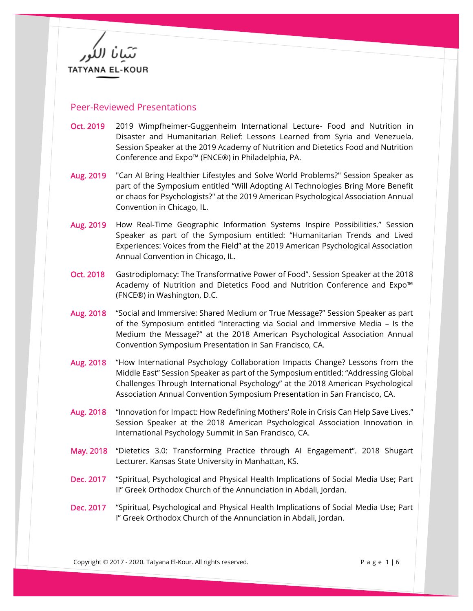TATYANA EL-KOUR

## Peer-Reviewed Presentations

- Oct. 2019 2019 Wimpfheimer-Guggenheim International Lecture- Food and Nutrition in Disaster and Humanitarian Relief: Lessons Learned from Syria and Venezuela. Session Speaker at the 2019 Academy of Nutrition and Dietetics Food and Nutrition Conference and Expo™ (FNCE®) in Philadelphia, PA.
- Aug. 2019 "Can AI Bring Healthier Lifestyles and Solve World Problems?" Session Speaker as part of the Symposium entitled "Will Adopting AI Technologies Bring More Benefit or chaos for Psychologists?" at the 2019 American Psychological Association Annual Convention in Chicago, IL.
- Aug. 2019 How Real-Time Geographic Information Systems Inspire Possibilities." Session Speaker as part of the Symposium entitled: "Humanitarian Trends and Lived Experiences: Voices from the Field" at the 2019 American Psychological Association Annual Convention in Chicago, IL.
- Oct. 2018 Gastrodiplomacy: The Transformative Power of Food". Session Speaker at the 2018 Academy of Nutrition and Dietetics Food and Nutrition Conference and Expo™ (FNCE®) in Washington, D.C.
- Aug. 2018 "Social and Immersive: Shared Medium or True Message?" Session Speaker as part of the Symposium entitled "Interacting via Social and Immersive Media – Is the Medium the Message?" at the 2018 American Psychological Association Annual Convention Symposium Presentation in San Francisco, CA.
- Aug. 2018 "How International Psychology Collaboration Impacts Change? Lessons from the Middle East" Session Speaker as part of the Symposium entitled: "Addressing Global Challenges Through International Psychology" at the 2018 American Psychological Association Annual Convention Symposium Presentation in San Francisco, CA.
- Aug. 2018 "Innovation for Impact: How Redefining Mothers' Role in Crisis Can Help Save Lives." Session Speaker at the 2018 American Psychological Association Innovation in International Psychology Summit in San Francisco, CA.
- May. 2018 "Dietetics 3.0: Transforming Practice through AI Engagement". 2018 Shugart Lecturer. Kansas State University in Manhattan, KS.
- Dec. 2017 "Spiritual, Psychological and Physical Health Implications of Social Media Use; Part II" Greek Orthodox Church of the Annunciation in Abdali, Jordan.
- Dec. 2017 "Spiritual, Psychological and Physical Health Implications of Social Media Use; Part I" Greek Orthodox Church of the Annunciation in Abdali, Jordan.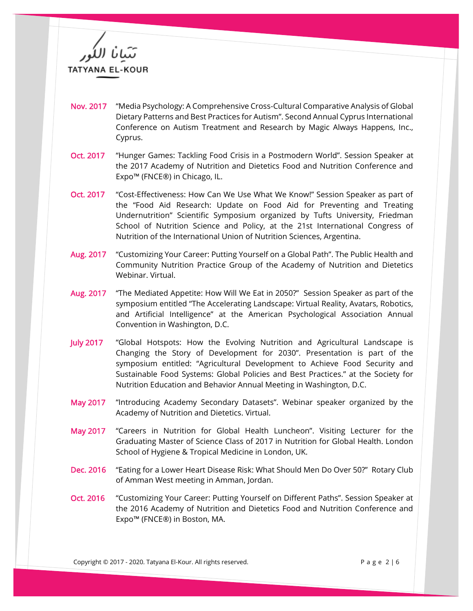**TATYANA EL-KOUR** 

- Nov. 2017 "Media Psychology: A Comprehensive Cross-Cultural Comparative Analysis of Global Dietary Patterns and Best Practices for Autism". Second Annual Cyprus International Conference on Autism Treatment and Research by Magic Always Happens, Inc., Cyprus.
- Oct. 2017 "Hunger Games: Tackling Food Crisis in a Postmodern World". Session Speaker at the 2017 Academy of Nutrition and Dietetics Food and Nutrition Conference and Expo™ (FNCE®) in Chicago, IL.
- Oct. 2017 "Cost-Effectiveness: How Can We Use What We Know!" Session Speaker as part of the "Food Aid Research: Update on Food Aid for Preventing and Treating Undernutrition" Scientific Symposium organized by Tufts University, Friedman School of Nutrition Science and Policy, at the 21st International Congress of Nutrition of the International Union of Nutrition Sciences, Argentina.
- Aug. 2017 "Customizing Your Career: Putting Yourself on a Global Path". The Public Health and Community Nutrition Practice Group of the Academy of Nutrition and Dietetics Webinar. Virtual.
- Aug. 2017 "The Mediated Appetite: How Will We Eat in 2050?" Session Speaker as part of the symposium entitled "The Accelerating Landscape: Virtual Reality, Avatars, Robotics, and Artificial Intelligence" at the American Psychological Association Annual Convention in Washington, D.C.
- July 2017 "Global Hotspots: How the Evolving Nutrition and Agricultural Landscape is Changing the Story of Development for 2030". Presentation is part of the symposium entitled: "Agricultural Development to Achieve Food Security and Sustainable Food Systems: Global Policies and Best Practices." at the Society for Nutrition Education and Behavior Annual Meeting in Washington, D.C.
- May 2017 "Introducing Academy Secondary Datasets". Webinar speaker organized by the Academy of Nutrition and Dietetics. Virtual.
- May 2017 "Careers in Nutrition for Global Health Luncheon". Visiting Lecturer for the Graduating Master of Science Class of 2017 in Nutrition for Global Health. London School of Hygiene & Tropical Medicine in London, UK.
- Dec. 2016 "Eating for a Lower Heart Disease Risk: What Should Men Do Over 50?" Rotary Club of Amman West meeting in Amman, Jordan.
- Oct. 2016 "Customizing Your Career: Putting Yourself on Different Paths". Session Speaker at the 2016 Academy of Nutrition and Dietetics Food and Nutrition Conference and Expo™ (FNCE®) in Boston, MA.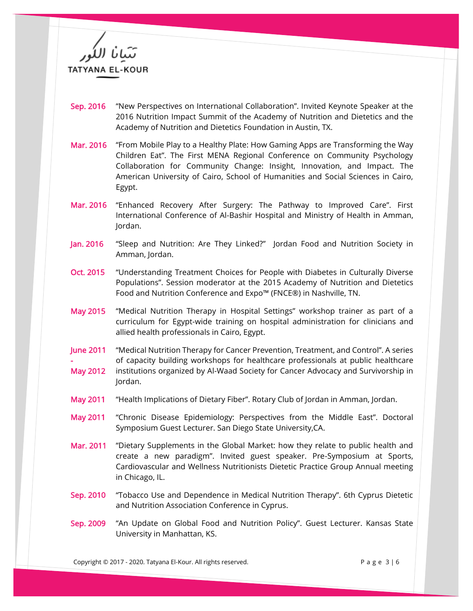**TATYANA EL-KOUR** 

- Sep. 2016 "New Perspectives on International Collaboration". Invited Keynote Speaker at the 2016 Nutrition Impact Summit of the Academy of Nutrition and Dietetics and the Academy of Nutrition and Dietetics Foundation in Austin, TX.
- Mar. 2016 "From Mobile Play to a Healthy Plate: How Gaming Apps are Transforming the Way Children Eat". The First MENA Regional Conference on Community Psychology Collaboration for Community Change: Insight, Innovation, and Impact. The American University of Cairo, School of Humanities and Social Sciences in Cairo, Egypt.
- Mar. 2016 "Enhanced Recovery After Surgery: The Pathway to Improved Care". First International Conference of Al-Bashir Hospital and Ministry of Health in Amman, Jordan.
- Jan. 2016 "Sleep and Nutrition: Are They Linked?" Jordan Food and Nutrition Society in Amman, Jordan.
- Oct. 2015 "Understanding Treatment Choices for People with Diabetes in Culturally Diverse Populations". Session moderator at the 2015 Academy of Nutrition and Dietetics Food and Nutrition Conference and Expo™ (FNCE®) in Nashville, TN.
- May 2015 "Medical Nutrition Therapy in Hospital Settings" workshop trainer as part of a curriculum for Egypt-wide training on hospital administration for clinicians and allied health professionals in Cairo, Egypt.
- June 2011 - "Medical Nutrition Therapy for Cancer Prevention, Treatment, and Control". A series of capacity building workshops for healthcare professionals at public healthcare
- May 2012 institutions organized by Al-Waad Society for Cancer Advocacy and Survivorship in Jordan.
- May 2011 "Health Implications of Dietary Fiber". Rotary Club of Jordan in Amman, Jordan.
- May 2011 "Chronic Disease Epidemiology: Perspectives from the Middle East". Doctoral Symposium Guest Lecturer. San Diego State University,CA.
- Mar. 2011 "Dietary Supplements in the Global Market: how they relate to public health and create a new paradigm". Invited guest speaker. Pre-Symposium at Sports, Cardiovascular and Wellness Nutritionists Dietetic Practice Group Annual meeting in Chicago, IL.
- Sep. 2010 "Tobacco Use and Dependence in Medical Nutrition Therapy". 6th Cyprus Dietetic and Nutrition Association Conference in Cyprus.
- Sep. 2009 "An Update on Global Food and Nutrition Policy". Guest Lecturer. Kansas State University in Manhattan, KS.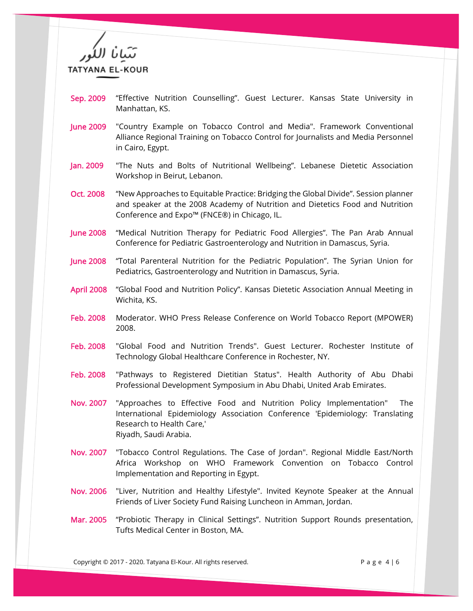**TATYANA EL-KOUR** 

- Sep. 2009 "Effective Nutrition Counselling". Guest Lecturer. Kansas State University in Manhattan, KS.
- June 2009 "Country Example on Tobacco Control and Media". Framework Conventional Alliance Regional Training on Tobacco Control for Journalists and Media Personnel in Cairo, Egypt.
- Jan. 2009 "The Nuts and Bolts of Nutritional Wellbeing". Lebanese Dietetic Association Workshop in Beirut, Lebanon.
- Oct. 2008 "New Approaches to Equitable Practice: Bridging the Global Divide". Session planner and speaker at the 2008 Academy of Nutrition and Dietetics Food and Nutrition Conference and Expo™ (FNCE®) in Chicago, IL.
- June 2008 "Medical Nutrition Therapy for Pediatric Food Allergies". The Pan Arab Annual Conference for Pediatric Gastroenterology and Nutrition in Damascus, Syria.
- June 2008 "Total Parenteral Nutrition for the Pediatric Population". The Syrian Union for Pediatrics, Gastroenterology and Nutrition in Damascus, Syria.
- April 2008 "Global Food and Nutrition Policy". Kansas Dietetic Association Annual Meeting in Wichita, KS.
- Feb. 2008 Moderator. WHO Press Release Conference on World Tobacco Report (MPOWER) 2008.
- Feb. 2008 "Global Food and Nutrition Trends". Guest Lecturer. Rochester Institute of Technology Global Healthcare Conference in Rochester, NY.
- Feb. 2008 "Pathways to Registered Dietitian Status". Health Authority of Abu Dhabi Professional Development Symposium in Abu Dhabi, United Arab Emirates.
- Nov. 2007 "Approaches to Effective Food and Nutrition Policy Implementation" The International Epidemiology Association Conference 'Epidemiology: Translating Research to Health Care,' Riyadh, Saudi Arabia.
- Nov. 2007 "Tobacco Control Regulations. The Case of Jordan". Regional Middle East/North Africa Workshop on WHO Framework Convention on Tobacco Control Implementation and Reporting in Egypt.
- Nov. 2006 "Liver, Nutrition and Healthy Lifestyle". Invited Keynote Speaker at the Annual Friends of Liver Society Fund Raising Luncheon in Amman, Jordan.
- Mar. 2005 "Probiotic Therapy in Clinical Settings". Nutrition Support Rounds presentation, Tufts Medical Center in Boston, MA.

Copyright © 2017 - 2020. Tatyana El-Kour. All rights reserved. P a g e 4 | 6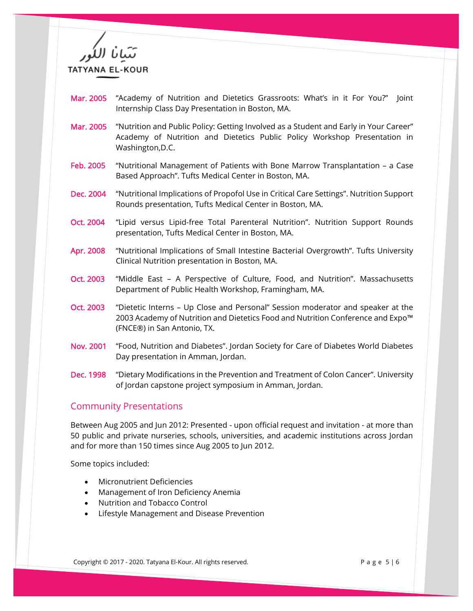**TATYANA EL-KOUR** 

- Mar. 2005 "Academy of Nutrition and Dietetics Grassroots: What's in it For You?" Joint Internship Class Day Presentation in Boston, MA.
- Mar. 2005 "Nutrition and Public Policy: Getting Involved as a Student and Early in Your Career" Academy of Nutrition and Dietetics Public Policy Workshop Presentation in Washington,D.C.
- Feb. 2005 "Nutritional Management of Patients with Bone Marrow Transplantation a Case Based Approach". Tufts Medical Center in Boston, MA.
- Dec. 2004 "Nutritional Implications of Propofol Use in Critical Care Settings". Nutrition Support Rounds presentation, Tufts Medical Center in Boston, MA.
- Oct. 2004 "Lipid versus Lipid-free Total Parenteral Nutrition". Nutrition Support Rounds presentation, Tufts Medical Center in Boston, MA.
- Apr. 2008 "Nutritional Implications of Small Intestine Bacterial Overgrowth". Tufts University Clinical Nutrition presentation in Boston, MA.
- Oct. 2003 "Middle East A Perspective of Culture, Food, and Nutrition". Massachusetts Department of Public Health Workshop, Framingham, MA.
- Oct. 2003 "Dietetic Interns Up Close and Personal" Session moderator and speaker at the 2003 Academy of Nutrition and Dietetics Food and Nutrition Conference and Expo™ (FNCE®) in San Antonio, TX.
- Nov. 2001 "Food, Nutrition and Diabetes". Jordan Society for Care of Diabetes World Diabetes Day presentation in Amman, Jordan.
- Dec. 1998 "Dietary Modifications in the Prevention and Treatment of Colon Cancer". University of Jordan capstone project symposium in Amman, Jordan.

## Community Presentations

Between Aug 2005 and Jun 2012: Presented - upon official request and invitation - at more than 50 public and private nurseries, schools, universities, and academic institutions across Jordan and for more than 150 times since Aug 2005 to Jun 2012.

Some topics included:

- Micronutrient Deficiencies
- Management of Iron Deficiency Anemia
- Nutrition and Tobacco Control
- Lifestyle Management and Disease Prevention